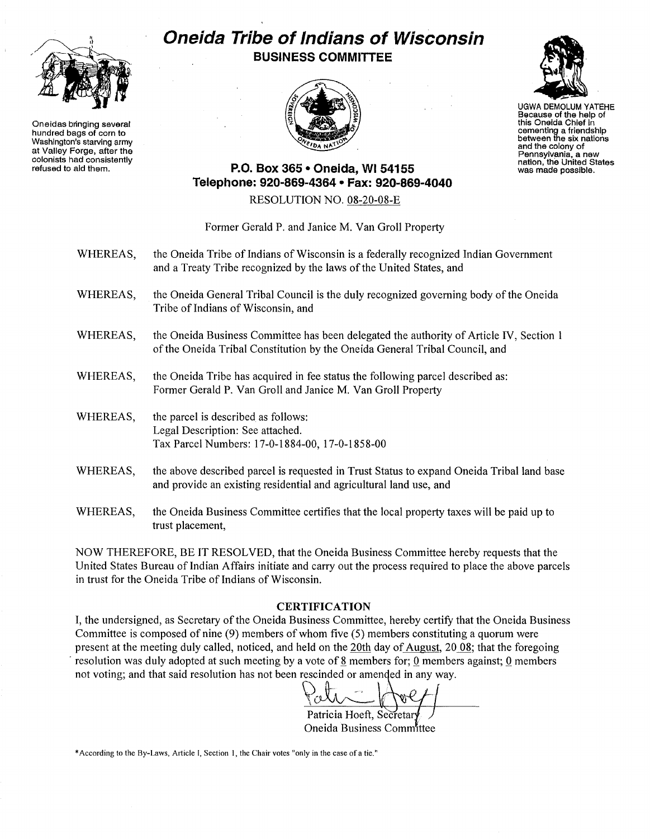

Oneidas bringing several hundred bags of corn to Washington's starving army at Valley Forge, after the colonists had consistently refused to aid them.

## **Oneida Tribe of Indians of Wisconsin BUSINESS COMMITTEE**





UGWA DEMOLUM YATEHE Because of the help of this Oneida Chief in cementing a friendship between the six nations and the colony of Pennsylvania, a new nation, the United States was made possible.

## **P.O. Box 365· Oneida,** WI 54155 **Telephone: 920·869·4364 • Fax: 920·869·4040**

RESOLUTION NO. 08-20-08-E

## Former Gerald P. and Janice M. Van Groll Property

- WHEREAS, the Oneida Tribe of Indians of Wisconsin is a federally recognized Indian Government and a Treaty Tribe recognized by the laws of the United States, and
- WHEREAS, the Oneida General Tribal Council is the duly recognized governing body of the Oneida Tribe of Indians of Wisconsin, and
- WHEREAS, the Oneida Business Committee has been delegated the authority of Article IV, Section 1 of the Oneida Tribal Constitution by the Oneida General Tribal Council, and
- WHEREAS, the Oneida Tribe has acquired in fee status the following parcel described as: Former Gerald P. Van Groll and Janice M. Van Groll Property
- WHEREAS, the parcel is described as follows: Legal Description: See attached. Tax Parcel Numbers: 17-0-1884-00,17-0-1858-00
- WHEREAS, the above described parcel is requested in Trust Status to expand Oneida Tribal land base and provide an existing residential and agricultural land use, and
- WHEREAS, the Oneida Business Committee certifies that the local property taxes will be paid up to trust placement,

NOW THEREFORE, BE IT RESOLVED, that the Oneida Business Committee hereby requests that the United States Bureau of Indian Affairs initiate and carry out the process required to place the above parcels in trust for the Oneida Tribe of Indians of Wisconsin.

## **CERTIFICATION**

I, the undersigned, as Secretary ofthe Oneida Business Committee, hereby certify that the Oneida Business Committee is composed of nine (9) members of whom five (5) members constituting a quorum were present at the meeting duly called, noticed, and held on the 20th day of August, 2008; that the foregoing resolution was duly adopted at such meeting by a vote of 8 members for; 0 members against; 0 members not voting; and that said resolution has not been rescinded or amended in any way.

Patricia Hoeft, Secretar

Oneida Business Committee

'According to the By-Laws, Article I, Section 1, the Chair votes "only in the case ofa tie."